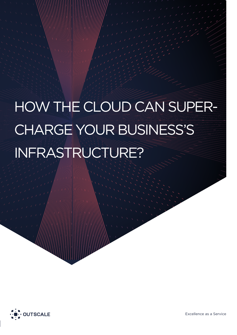# HOW THE CLOUD CAN SUPER-CHARGE YOUR BUSINESS'S INFRASTRUCTURE?

 $\mathcal{H}(\mathcal{A},\mathcal{A})$  and  $\mathcal{H}(\mathcal{A})$  in  $\mathcal{H}(\mathcal{A})$  in  $\mathcal{H}(\mathcal{A})$  in  $\mathcal{H}(\mathcal{A})$  in  $\mathcal{H}(\mathcal{A})$  in  $\mathcal{H}(\mathcal{A})$  in  $\mathcal{H}(\mathcal{A})$  in  $\mathcal{H}(\mathcal{A})$  in  $\mathcal{H}(\mathcal{A})$  in  $\mathcal{H}(\mathcal{A})$  in  $\mathcal{H}(\mathcal{A})$  i



Excellence as a Service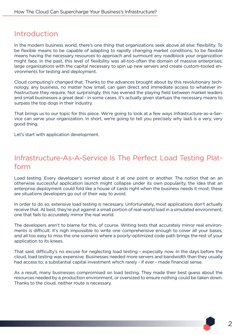### Introduction

In the modern business world, there's one thing that organizations seek above all else: flexibility. To be flexible means to be capable of adapting to rapidly changing market conditions; to be flexible means having the necessary resources to approach and surmount any roadblock your organization might face. In the past, this level of flexibility was all-too-often the domain of massive enterprises; large organizations with the capital necessary to spin up new servers and create custom-tooled environments for testing and deployment.

Cloud computing's changed that. Thanks to the advances brought about by this revolutionary technology, any business, no matter how small, can gain direct and immediate access to whatever infrastructure they require. Not surprisingly, this has evened the playing field between market leaders and small businesses a great deal - in some cases, it's actually given startups the necessary means to surpass the top dogs in their industry.

That brings us to our topic for this piece. We're going to look at a few ways Infrastructure-as-a-Service can serve your organization. In short, we're going to tell you precisely why IaaS is a very, very good thing.

Let's start with application development.

## Infrastructure-As-A-Service Is The Perfect Load Testing Platform

Load testing. Every developer's worried about it at one point or another. The notion that an an otherwise successful application launch might collapse under its own popularity, the idea that an enterprise deployment could fold like a house of cards right when the business needs it most; these are situations developers go out of their way to avoid.

In order to do so, extensive load testing is necessary. Unfortunately, most applications don't actually receive that. At best, they're put against a small portion of real-world load in a simulated environment; one that fails to accurately mirror the real world.

The developers aren't to blame for this, of course. Writing tests that accurately mirror real environments is difficult. It's nigh impossible to write one comprehensive enough to cover all your bases, and all too easy to miss the one scenario where a poorly-optimized code path brings the rest of your application to its knees.

That said, difficulty's no excuse for neglecting load testing - especially now. In the days before the cloud, load testing was expensive. Businesses needed more servers and bandwidth than they usually had access to; a substantial capital investment which rarely - if ever - made financial sense.

As a result, many businesses compromised on load testing. They made their best guess about the resources needed by a production environment, or oversized to ensure nothing could be taken down. Thanks to the cloud, neither route is necessary.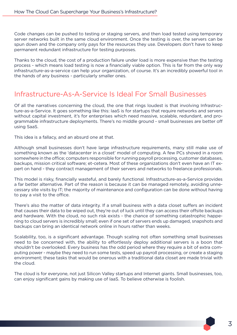Code changes can be pushed to testing or staging servers, and then load tested using temporary server networks built in the same cloud environment. Once the testing is over, the servers can be spun down and the company only pays for the resources they use. Developers don't have to keep permanent redundant infrastructure for testing purposes.

Thanks to the cloud, the cost of a production failure under load is more expensive than the testing process - which means load testing is now a financially viable option. This is far from the only way infrastructure-as-a-service can help your organization, of course. It's an incredibly powerful tool in the hands of any business - particularly smaller ones.

### Infrastructure-As-A-Service Is Ideal For Small Businesses

Of all the narratives concerning the cloud, the one that rings loudest is that involving Infrastructure-as-a-Service. It goes something like this: IaaS is for startups that require networks and servers without capital investment, it's for enterprises which need massive, scalable, redundant, and programmable infrastructure deployments. There's no middle ground - small businesses are better off using SaaS.

This idea is a fallacy, and an absurd one at that.

Although small businesses don't have large infrastructure requirements, many still make use of something known as the 'datacenter in a closet' model of computing. A few PCs shoved in a room somewhere in the office; computers responsible for running payroll processing, customer databases, backups, mission critical software; et-cetera. Most of these organizations don't even have an IT expert on hand - they contract management of their servers and networks to freelance professionals.

This model is risky, financially wasteful, and barely functional. Infrastructure-as-a-Service provides a far better alternative. Part of the reason is because it can be managed remotely, avoiding unnecessary site visits by IT; the majority of maintenance and configuration can be done without having to pay a visit to the office.

There's also the matter of data integrity. If a small business with a data closet suffers an incident that causes their data to be wiped out, they're out of luck until they can access their offsite backups and hardware. With the cloud, no such risk exists - the chance of something catastrophic happening to cloud servers is incredibly small; even if one set of servers ends up damaged, snapshots and backups can bring an identical network online in hours rather than weeks.

Scalability, too, is a significant advantage. Though scaling not often something small businesses need to be concerned with, the ability to effortlessly deploy additional servers is a boon that shouldn't be overlooked. Every business has the odd period where they require a bit of extra computing power - maybe they need to run some tests, speed up payroll processing, or create a staging environment; these tasks that would be onerous with a traditional data closet are made trivial with the cloud.

The cloud is for everyone, not just Silicon Valley startups and Internet giants. Small businesses, too, can enjoy significant gains by making use of IaaS. To believe otherwise is foolish.